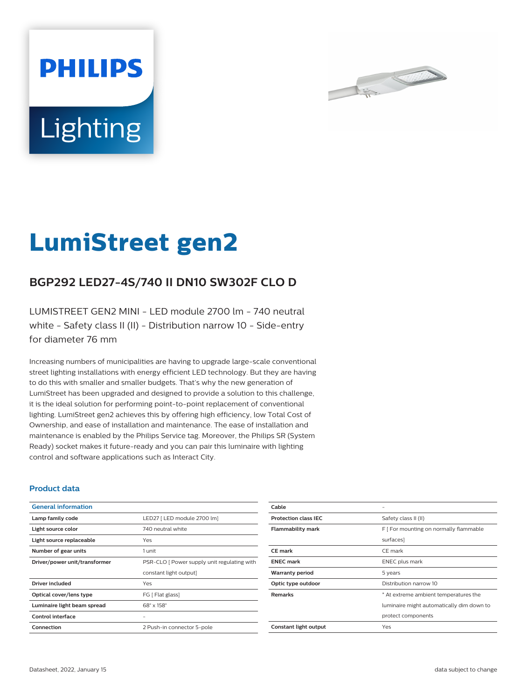



# **LumiStreet gen2**

## **BGP292 LED27-4S/740 II DN10 SW302F CLO D**

LUMISTREET GEN2 MINI - LED module 2700 lm - 740 neutral white - Safety class II (II) - Distribution narrow 10 - Side-entry for diameter 76 mm

Increasing numbers of municipalities are having to upgrade large-scale conventional street lighting installations with energy efficient LED technology. But they are having to do this with smaller and smaller budgets. That's why the new generation of LumiStreet has been upgraded and designed to provide a solution to this challenge, it is the ideal solution for performing point-to-point replacement of conventional lighting. LumiStreet gen2 achieves this by offering high efficiency, low Total Cost of Ownership, and ease of installation and maintenance. The ease of installation and maintenance is enabled by the Philips Service tag. Moreover, the Philips SR (System Ready) socket makes it future-ready and you can pair this luminaire with lighting control and software applications such as Interact City.

#### **Product data**

| <b>General information</b>    |                                             |
|-------------------------------|---------------------------------------------|
| Lamp family code              | LED27   LED module 2700 lm]                 |
| Light source color            | 740 neutral white                           |
| Light source replaceable      | Yes                                         |
| Number of gear units          | 1 unit                                      |
| Driver/power unit/transformer | PSR-CLO   Power supply unit regulating with |
|                               | constant light output]                      |
| Driver included               | Yes                                         |
| Optical cover/lens type       | FG [ Flat glass]                            |
| Luminaire light beam spread   | $68^\circ \times 158^\circ$                 |
| Control interface             |                                             |
| Connection                    | 2 Push-in connector 5-pole                  |

| Cable                       |                                           |
|-----------------------------|-------------------------------------------|
| <b>Protection class IEC</b> | Safety class II (II)                      |
| <b>Flammability mark</b>    | F [ For mounting on normally flammable    |
|                             | surfaces]                                 |
| <b>CE</b> mark              | CE mark                                   |
| <b>ENEC mark</b>            | <b>ENEC</b> plus mark                     |
| <b>Warranty period</b>      | 5 years                                   |
| Optic type outdoor          | Distribution narrow 10                    |
| <b>Remarks</b>              | * At extreme ambient temperatures the     |
|                             | luminaire might automatically dim down to |
|                             | protect components                        |
| Constant light output       | Yes                                       |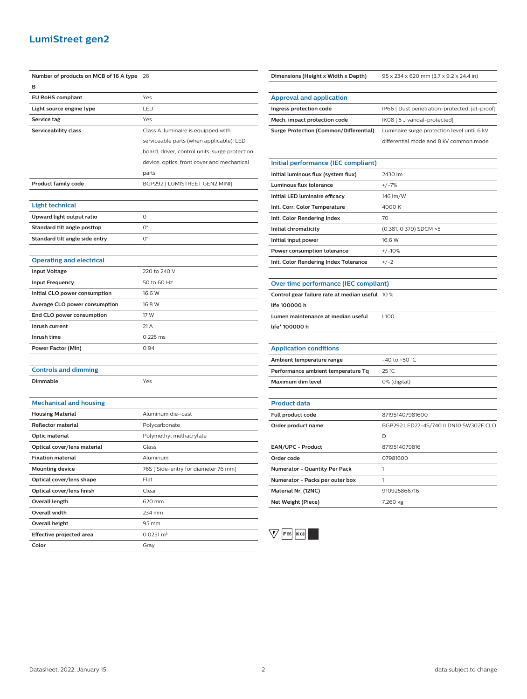### **LumiStreet gen2**

| Number of products on MCB of 16 A type | 26                                             |
|----------------------------------------|------------------------------------------------|
| в                                      |                                                |
| <b>EU RoHS compliant</b>               | Yes                                            |
| Light source engine type               | LED                                            |
| Service tag                            | Yes                                            |
| Serviceability class                   | Class A, luminaire is equipped with            |
|                                        | serviceable parts (when applicable): LED       |
|                                        | board, driver, control units, surge protection |
|                                        | device, optics, front cover and mechanical     |
|                                        | parts                                          |
| <b>Product family code</b>             | BGP292 [ LUMISTREET GEN2 MINI]                 |
|                                        |                                                |
| <b>Light technical</b>                 |                                                |
| Upward light output ratio              | 0                                              |
| Standard tilt angle posttop            | O°                                             |
| Standard tilt angle side entry         | О°                                             |
|                                        |                                                |
| <b>Operating and electrical</b>        |                                                |
| <b>Input Voltage</b>                   | 220 to 240 V                                   |
| <b>Input Frequency</b>                 | 50 to 60 Hz                                    |
| Initial CLO power consumption          | 16.6 W                                         |
| Average CLO power consumption          | 16.8 W                                         |
| End CLO power consumption              | 17 W                                           |
| Inrush current                         | 21 A                                           |
| Inrush time                            | 0.225 ms                                       |
| Power Factor (Min)                     | 0.94                                           |
|                                        |                                                |
| <b>Controls and dimming</b>            |                                                |
| Dimmable                               | Yes                                            |
|                                        |                                                |
| <b>Mechanical and housing</b>          |                                                |
| <b>Housing Material</b>                | Aluminum die-cast                              |
| <b>Reflector material</b>              | Polycarbonate                                  |
| <b>Optic material</b>                  | Polymethyl methacrylate                        |
| Optical cover/lens material            | Glass                                          |
| <b>Fixation material</b>               | Aluminum                                       |
| <b>Mounting device</b>                 | 76S [ Side-entry for diameter 76 mm]           |
| Optical cover/lens shape               | Flat                                           |
| Optical cover/lens finish              | Clear                                          |
| Overall length                         | 620 mm                                         |
| Overall width                          | 234 mm                                         |
| <b>Overall height</b>                  | 95 mm                                          |
| <b>Effective projected area</b>        | $0.0251 \, \text{m}^2$                         |
| Color                                  | Gray                                           |

**Ingress protection code** IP66 [ Dust penetration-protected, jet-proof] **Mech. impact protection code** IK08 [5 J vandal-protected] **Surge Protection (Common/Differential)** Luminaire surge protection level until 6 kV differential mode and 8 kV common mode **Initial performance (IEC compliant) Initial luminous flux (system flux)** 2430 lm Luminous flux tolerance  $+/-7\%$ **Initial LED luminaire efficacy** 146 lm/W **Init. Corr. Color Temperature** 4000 K **Init. Color Rendering Index** 70 **Initial chromaticity** (0.381, 0.379) SDCM <5 **Initial input power** 16.6 W **Power consumption tolerance**  $+/-10\%$ **Init. Color Rendering Index Tolerance** +/-2 **Over time performance (IEC compliant) Control gear failure rate at median useful** 10 % **life 100000 h Lumen maintenance at median useful life\* 100000 h**  $\overline{1100}$ **Application conditions Ambient temperature range**  $-40$  to +50 °C **Performance ambient temperature Tq** 25 °C **Maximum dim level** 0% (digital) **Product data Full product code** 871951407981600 **Order product name** BGP292 LED27-4S/740 II DN10 SW302F CLO D **EAN/UPC - Product** 8719514079816 **Order code** 07981600 **Numerator - Quantity Per Pack** 1 **Numerator - Packs per outer box** 1

**Dimensions (Height x Width x Depth)** 95 x 234 x 620 mm (3.7 x 9.2 x 24.4 in)

**Approval and application**



**Material Nr. (12NC)** 910925866716 **Net Weight (Piece)** 7.260 kg